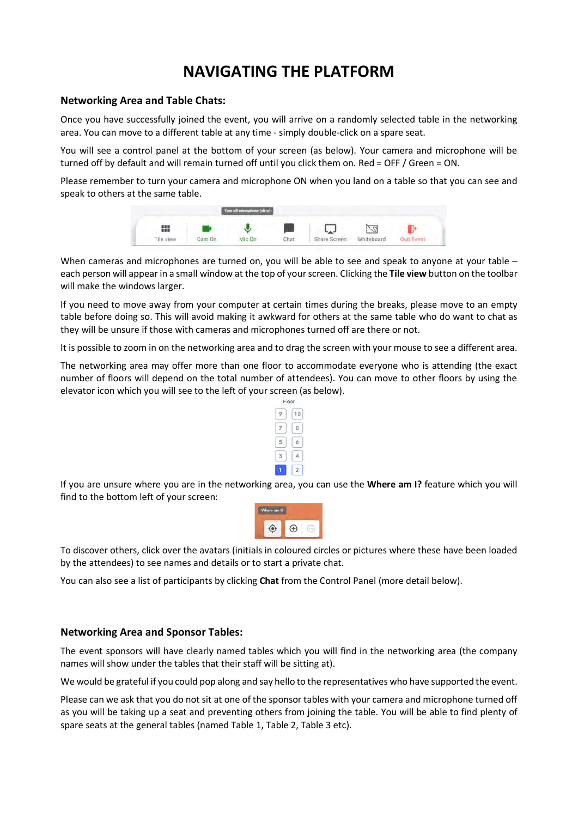# **NAVIGATING THE PLATFORM**

## **Networking Area and Table Chats:**

Once you have successfully joined the event, you will arrive on a randomly selected table in the networking area. You can move to a different table at any time - simply double-click on a spare seat.

You will see a control panel at the bottom of your screen (as below). Your camera and microphone will be turned off by default and will remain turned off until you click them on. Red = OFF / Green = ON.

Please remember to turn your camera and microphone ON when you land on a table so that you can see and speak to others at the same table.



When cameras and microphones are turned on, you will be able to see and speak to anyone at your table each person will appear in a small window at the top of your screen. Clicking the **Tile view** button on the toolbar will make the windows larger.

If you need to move away from your computer at certain times during the breaks, please move to an empty table before doing so. This will avoid making it awkward for others at the same table who do want to chat as they will be unsure if those with cameras and microphones turned off are there or not.

It is possible to zoom in on the networking area and to drag the screen with your mouse to see a different area.

The networking area may offer more than one floor to accommodate everyone who is attending (the exact number of floors will depend on the total number of attendees). You can move to other floors by using the elevator icon which you will see to the left of your screen (as below).



If you are unsure where you are in the networking area, you can use the **Where am I?** feature which you will find to the bottom left of your screen:



To discover others, click over the avatars (initials in coloured circles or pictures where these have been loaded by the attendees) to see names and details or to start a private chat.

You can also see a list of participants by clicking **Chat** from the Control Panel (more detail below).

## **Networking Area and Sponsor Tables:**

The event sponsors will have clearly named tables which you will find in the networking area (the company names will show under the tables that their staff will be sitting at).

We would be grateful if you could pop along and say hello to the representatives who have supported the event.

Please can we ask that you do not sit at one of the sponsor tables with your camera and microphone turned off as you will be taking up a seat and preventing others from joining the table. You will be able to find plenty of spare seats at the general tables (named Table 1, Table 2, Table 3 etc).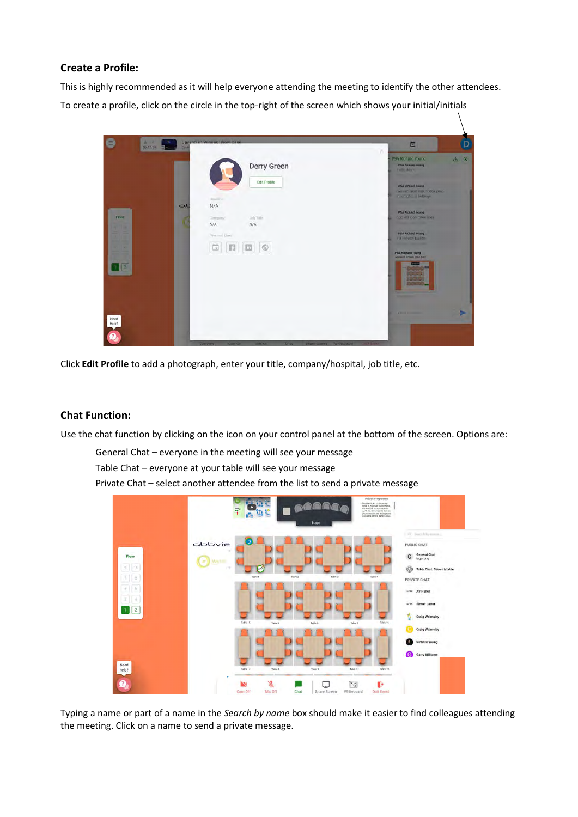# **Create a Profile:**

This is highly recommended as it will help everyone attending the meeting to identify the other attendees. To create a profile, click on the circle in the top-right of the screen which shows your initial/initials

 $\lambda$ 

| ●<br>$2 - 2$<br>06:18:26    | <b>Canta</b> | Cavendish Venues Show Case                                                                                                          | 固<br>к                                                                                                                                                                                                                                                                                                                                                                                  | D   |
|-----------------------------|--------------|-------------------------------------------------------------------------------------------------------------------------------------|-----------------------------------------------------------------------------------------------------------------------------------------------------------------------------------------------------------------------------------------------------------------------------------------------------------------------------------------------------------------------------------------|-----|
| Florat<br>四<br>n  n <br>1 2 | at<br>п      | Derry Green<br>Edit Profile<br>Hospital<br>N/A<br>Job Title<br>Garripino)<br>N/A<br>N/A<br>Pérnami Links<br>$\Box$<br>日日<br>$\circ$ | <b>PSA Richard Young</b><br><b>CONTINUES (MAY)</b><br>THISO GROV<br><b>PSA Richard Visung</b><br>We can hear you, check you.<br>inicity/horal lettings<br><b>PSA Richard Young</b><br>top left con three lines.<br>__<br><b>PEA Richard Voung</b><br><b>THI I BRITISH DAILYON</b><br><b>STATISTICS</b><br><b>PSA Richard Young</b><br>ADDRESS COMP (FAR 1972)<br>-<br><b>CONTRACTOR</b> | d X |
| Need<br>help?               |              |                                                                                                                                     | <b>AVAILABLE BELLEVILLE</b>                                                                                                                                                                                                                                                                                                                                                             | ь   |

Click **Edit Profile** to add a photograph, enter your title, company/hospital, job title, etc.

# **Chat Function:**

Use the chat function by clicking on the icon on your control panel at the bottom of the screen. Options are:

General Chat – everyone in the meeting will see your message

Table Chat – everyone at your table will see your message

Private Chat – select another attendee from the list to send a private message



Typing a name or part of a name in the *Search by name* box should make it easier to find colleagues attending the meeting. Click on a name to send a private message.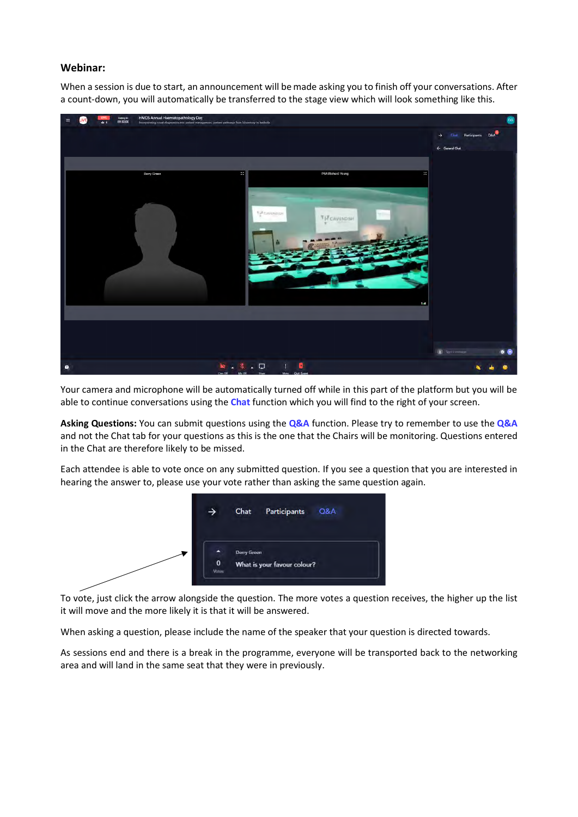#### **Webinar:**

When a session is due to start, an announcement will be made asking you to finish off your conversations. After a count-down, you will automatically be transferred to the stage view which will look something like this.



Your camera and microphone will be automatically turned off while in this part of the platform but you will be able to continue conversations using the **Chat** function which you will find to the right of your screen.

**Asking Questions:** You can submit questions using the **Q&A** function. Please try to remember to use the **Q&A** and not the Chat tab for your questions as this is the one that the Chairs will be monitoring. Questions entered in the Chat are therefore likely to be missed.

Each attendee is able to vote once on any submitted question. If you see a question that you are interested in hearing the answer to, please use your vote rather than asking the same question again.



To vote, just click the arrow alongside the question. The more votes a question receives, the higher up the list it will move and the more likely it is that it will be answered.

When asking a question, please include the name of the speaker that your question is directed towards.

As sessions end and there is a break in the programme, everyone will be transported back to the networking area and will land in the same seat that they were in previously.